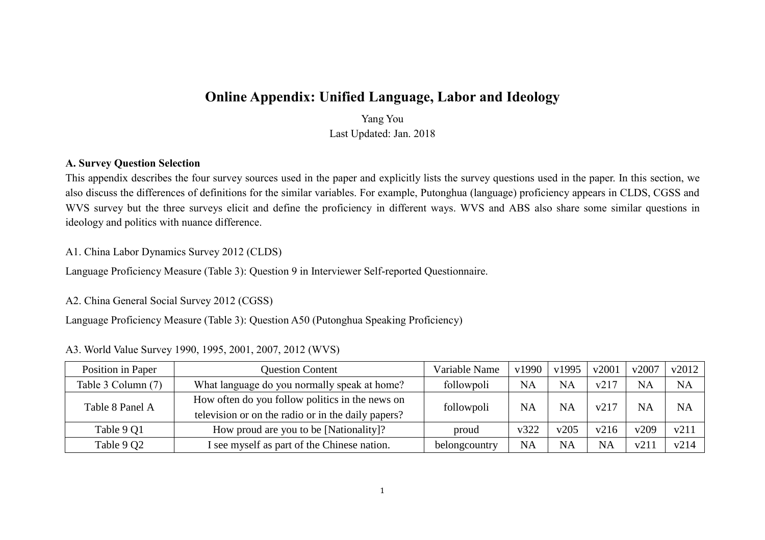# **Online Appendix: Unified Language, Labor and Ideology**

Yang You Last Updated: Jan. 2018

# **A. Survey Question Selection**

This appendix describes the four survey sources used in the paper and explicitly lists the survey questions used in the paper. In this section, we also discuss the differences of definitions for the similar variables. For example, Putonghua (language) proficiency appears in CLDS, CGSS and WVS survey but the three surveys elicit and define the proficiency in different ways. WVS and ABS also share some similar questions in ideology and politics with nuance difference.

## A1. China Labor Dynamics Survey 2012 (CLDS)

Language Proficiency Measure (Table 3): Question 9 in Interviewer Self-reported Questionnaire.

### A2. China General Social Survey 2012 (CGSS)

Language Proficiency Measure (Table 3): Question A50 (Putonghua Speaking Proficiency)

### A3. World Value Survey 1990, 1995, 2001, 2007, 2012 (WVS)

| Position in Paper                                                                                                        | <b>Question Content</b>                      | Variable Name | v1990     | v1995     | v2001     | v2007            | v2012     |
|--------------------------------------------------------------------------------------------------------------------------|----------------------------------------------|---------------|-----------|-----------|-----------|------------------|-----------|
| Table 3 Column (7)                                                                                                       | What language do you normally speak at home? | followpoli    | <b>NA</b> | <b>NA</b> | v217      | <b>NA</b>        | <b>NA</b> |
| How often do you follow politics in the news on<br>Table 8 Panel A<br>television or on the radio or in the daily papers? |                                              | followpoli    | <b>NA</b> | <b>NA</b> | v217      | <b>NA</b>        | <b>NA</b> |
| Table 9 Q1                                                                                                               | How proud are you to be [Nationality]?       | proud         | v322      | v205      | v216      | v209             | v211      |
| Table 9 Q2                                                                                                               | I see myself as part of the Chinese nation.  | belongcountry | <b>NA</b> | <b>NA</b> | <b>NA</b> | v21 <sup>1</sup> | v214      |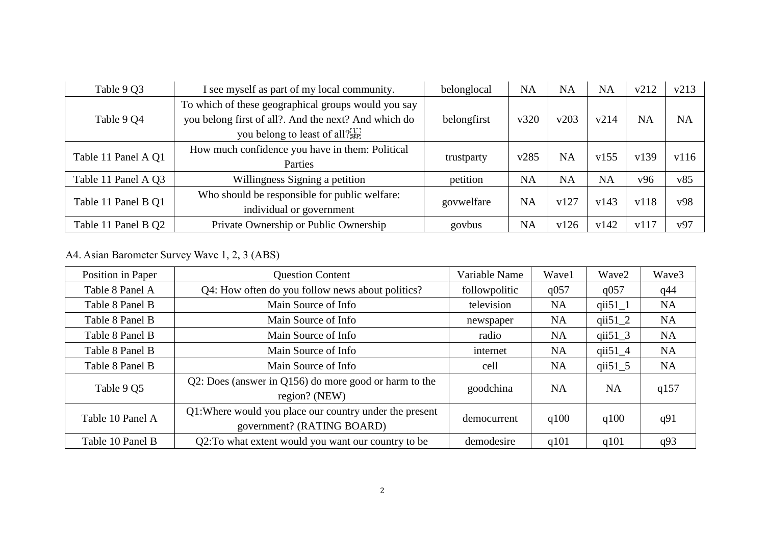| Table 9 Q3          | I see myself as part of my local community.          | belonglocal | <b>NA</b> | <b>NA</b> | <b>NA</b> | v212      | v213      |
|---------------------|------------------------------------------------------|-------------|-----------|-----------|-----------|-----------|-----------|
|                     | To which of these geographical groups would you say  |             |           |           |           |           |           |
| Table 9 Q4          | you belong first of all?. And the next? And which do | belongfirst | v320      | v203      | v214      | <b>NA</b> | <b>NA</b> |
|                     | you belong to least of all? <sup>[17]</sup>          |             |           |           |           |           |           |
| Table 11 Panel A Q1 | How much confidence you have in them: Political      |             | v285      | <b>NA</b> | v155      | v139      | v116      |
|                     | Parties                                              | trustparty  |           |           |           |           |           |
| Table 11 Panel A Q3 | Willingness Signing a petition                       | petition    | <b>NA</b> | <b>NA</b> | <b>NA</b> | v96       | v85       |
|                     | Who should be responsible for public welfare:        |             | <b>NA</b> | v127      | v143      | v118      |           |
| Table 11 Panel B Q1 | individual or government                             | govwelfare  |           |           |           |           | v98       |
| Table 11 Panel B Q2 | Private Ownership or Public Ownership                | govbus      | <b>NA</b> | v126      | v142      | v117      | v97       |

A4. Asian Barometer Survey Wave 1, 2, 3 (ABS)

| Position in Paper | <b>Question Content</b>                                                               | Variable Name | Wave1     | Wave2       | Wave3     |
|-------------------|---------------------------------------------------------------------------------------|---------------|-----------|-------------|-----------|
| Table 8 Panel A   | Q4: How often do you follow news about politics?                                      | followpolitic | q057      | q057        | q44       |
| Table 8 Panel B   | Main Source of Info                                                                   | television    | <b>NA</b> | $qii51_1$   | <b>NA</b> |
| Table 8 Panel B   | Main Source of Info                                                                   | newspaper     | <b>NA</b> | qii $51\_2$ | <b>NA</b> |
| Table 8 Panel B   | Main Source of Info                                                                   | radio         | <b>NA</b> | qii $51\_3$ | <b>NA</b> |
| Table 8 Panel B   | Main Source of Info                                                                   | internet      | <b>NA</b> | qii $51\_4$ | <b>NA</b> |
| Table 8 Panel B   | Main Source of Info                                                                   | cell          | <b>NA</b> | qii $51\_5$ | <b>NA</b> |
| Table 9 Q5        | Q2: Does (answer in Q156) do more good or harm to the<br>region? (NEW)                | goodchina     | <b>NA</b> | <b>NA</b>   | q157      |
| Table 10 Panel A  | Q1: Where would you place our country under the present<br>government? (RATING BOARD) | democurrent   | q100      | q100        | q91       |
| Table 10 Panel B  | Q2: To what extent would you want our country to be                                   | demodesire    | q101      | q101        | q93       |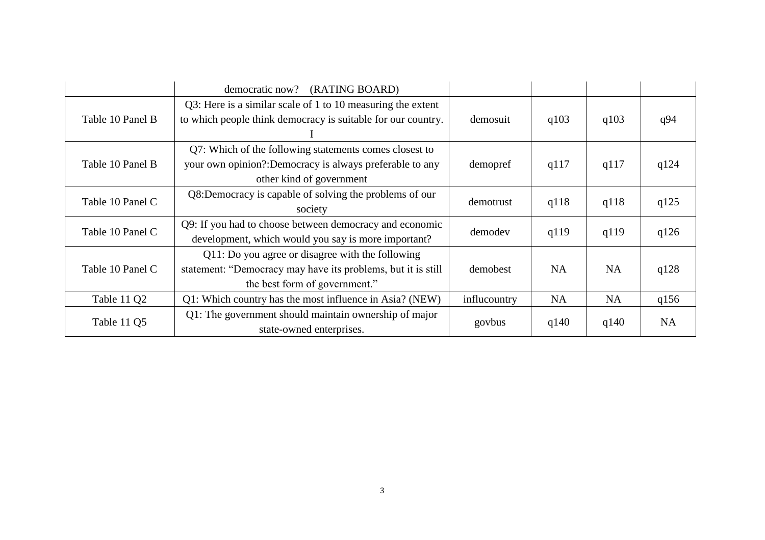|                  | democratic now? (RATING BOARD)                                                                                                                    |              |           |           |           |
|------------------|---------------------------------------------------------------------------------------------------------------------------------------------------|--------------|-----------|-----------|-----------|
| Table 10 Panel B | Q3: Here is a similar scale of 1 to 10 measuring the extent<br>to which people think democracy is suitable for our country.                       | demosuit     | q103      | q103      | q94       |
| Table 10 Panel B | Q7: Which of the following statements comes closest to<br>your own opinion?:Democracy is always preferable to any<br>other kind of government     | demopref     | q117      | q117      | q124      |
| Table 10 Panel C | Q8:Democracy is capable of solving the problems of our<br>society                                                                                 | demotrust    | q118      | q118      | q125      |
| Table 10 Panel C | Q9: If you had to choose between democracy and economic<br>development, which would you say is more important?                                    | demodev      | q119      | q119      | q126      |
| Table 10 Panel C | Q11: Do you agree or disagree with the following<br>statement: "Democracy may have its problems, but it is still<br>the best form of government." | demobest     | <b>NA</b> | <b>NA</b> | q128      |
| Table 11 Q2      | Q1: Which country has the most influence in Asia? (NEW)                                                                                           | influcountry | <b>NA</b> | <b>NA</b> | q156      |
| Table 11 Q5      | Q1: The government should maintain ownership of major<br>state-owned enterprises.                                                                 | govbus       | q140      | q140      | <b>NA</b> |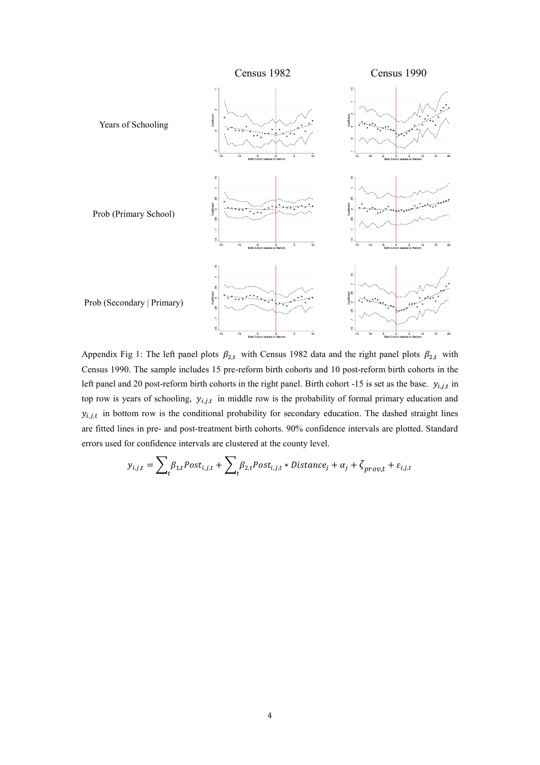

Appendix Fig 1: The left panel plots  $\beta_{2,t}$  with Census 1982 data and the right panel plots  $\beta_{2,t}$  with Census 1990. The sample includes 15 pre-reform birth cohorts and 10 post-reform birth cohorts in the left panel and 20 post-reform birth cohorts in the right panel. Birth cohort -15 is set as the base.  $y_{i,j,t}$  in top row is years of schooling,  $y_{i,j,t}$  in middle row is the probability of formal primary education and  $y_{i,j,t}$  in bottom row is the conditional probability for secondary education. The dashed straight lines are fitted lines in pre- and post-treatment birth cohorts. 90% confidence intervals are plotted. Standard errors used for confidence intervals are clustered at the county level.

$$
y_{i,j,t} = \sum_{t} \beta_{1,t} Post_{i,j,t} + \sum_{t} \beta_{2,t} Post_{i,j,t} * Distance_j + \alpha_j + \zeta_{prov,t} + \varepsilon_{i,j,t}
$$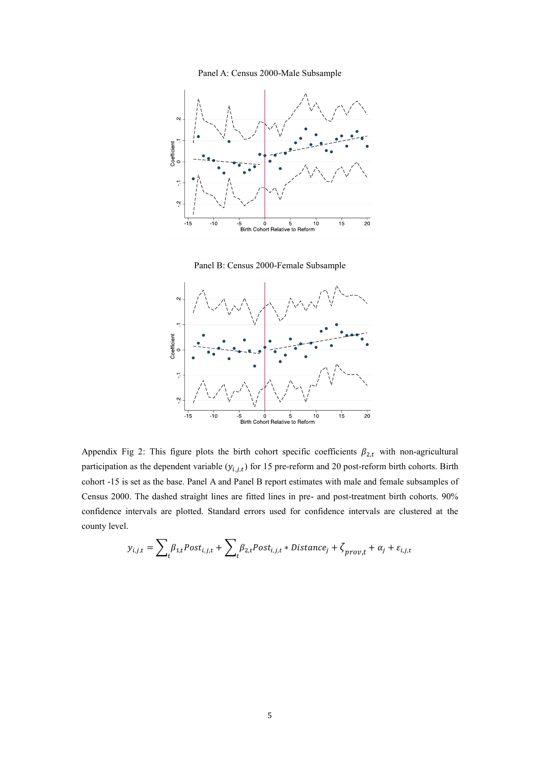







Appendix Fig 2: This figure plots the birth cohort specific coefficients  $\beta_{2,t}$  with non-agricultural participation as the dependent variable  $(y_{i,j,t})$  for 15 pre-reform and 20 post-reform birth cohorts. Birth cohort -15 is set as the base. Panel A and Panel B report estimates with male and female subsamples of Census 2000. The dashed straight lines are fitted lines in pre- and post-treatment birth cohorts. 90% confidence intervals are plotted. Standard errors used for confidence intervals are clustered at the county level.

$$
y_{i,j,t} = \sum_{t} \beta_{1,t} Post_{i,j,t} + \sum_{t} \beta_{2,t} Post_{i,j,t} * Distance_j + \zeta_{prov,t} + \alpha_j + \varepsilon_{i,j,t}
$$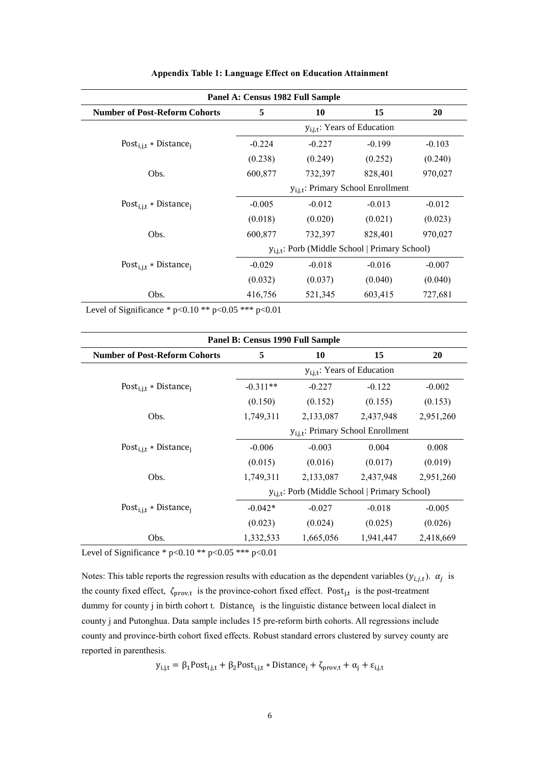| Panel A: Census 1982 Full Sample              |                                         |                                                     |          |          |  |  |  |  |
|-----------------------------------------------|-----------------------------------------|-----------------------------------------------------|----------|----------|--|--|--|--|
| <b>Number of Post-Reform Cohorts</b>          | 5                                       | 10                                                  | 15       | 20       |  |  |  |  |
|                                               | $y_{i,j,t}$ : Years of Education        |                                                     |          |          |  |  |  |  |
| Post <sub>i.i.t</sub> * Distance <sub>i</sub> | $-0.224$                                | $-0.227$                                            | $-0.199$ | $-0.103$ |  |  |  |  |
|                                               | (0.238)                                 | (0.249)                                             | (0.252)  | (0.240)  |  |  |  |  |
| Obs.                                          | 600,877                                 | 732,397                                             | 828,401  | 970,027  |  |  |  |  |
|                                               | $y_{i.i.t}$ : Primary School Enrollment |                                                     |          |          |  |  |  |  |
| Post <sub>i.i.t</sub> * Distance <sub>i</sub> | $-0.005$                                | $-0.012$                                            | $-0.013$ | $-0.012$ |  |  |  |  |
|                                               | (0.018)                                 | (0.020)                                             | (0.021)  | (0.023)  |  |  |  |  |
| Obs.                                          | 600,877                                 | 732,397                                             | 828,401  | 970,027  |  |  |  |  |
|                                               |                                         | $y_{i,i,t}$ : Porb (Middle School   Primary School) |          |          |  |  |  |  |
| Post <sub>i.i.t</sub> * Distance <sub>i</sub> | $-0.029$                                | $-0.018$                                            | $-0.016$ | $-0.007$ |  |  |  |  |
|                                               | (0.032)                                 | (0.037)                                             | (0.040)  | (0.040)  |  |  |  |  |
| Obs.                                          | 416,756                                 | 521,345                                             | 603,415  | 727,681  |  |  |  |  |

#### **Appendix Table 1: Language Effect on Education Attainment**

Level of Significance \* p<0.10 \*\* p<0.05 \*\*\* p<0.01

| Panel B: Census 1990 Full Sample              |                                         |                                                            |           |           |  |  |  |  |  |
|-----------------------------------------------|-----------------------------------------|------------------------------------------------------------|-----------|-----------|--|--|--|--|--|
| <b>Number of Post-Reform Cohorts</b>          | 5                                       | 10                                                         | 15        | 20        |  |  |  |  |  |
|                                               | $y_{i,j,t}$ : Years of Education        |                                                            |           |           |  |  |  |  |  |
| Post <sub>i.i.t</sub> * Distance <sub>i</sub> | $-0.311**$                              | $-0.227$                                                   | $-0.122$  | $-0.002$  |  |  |  |  |  |
|                                               | (0.150)                                 | (0.152)                                                    | (0.155)   | (0.153)   |  |  |  |  |  |
| Obs.                                          | 1,749,311                               | 2,133,087                                                  | 2,437,948 | 2,951,260 |  |  |  |  |  |
|                                               | $y_{i,j,t}$ : Primary School Enrollment |                                                            |           |           |  |  |  |  |  |
| Post <sub>i.i.t</sub> * Distance <sub>i</sub> | $-0.006$                                | $-0.003$                                                   | 0.004     | 0.008     |  |  |  |  |  |
|                                               | (0.015)                                 | (0.016)                                                    | (0.017)   | (0.019)   |  |  |  |  |  |
| Obs.                                          | 1,749,311                               | 2,133,087                                                  | 2,437,948 | 2,951,260 |  |  |  |  |  |
|                                               |                                         | y <sub>i.i.t</sub> : Porb (Middle School   Primary School) |           |           |  |  |  |  |  |
| Post <sub>i,j,t</sub> * Distance <sub>i</sub> | $-0.042*$                               | $-0.027$                                                   | $-0.018$  | $-0.005$  |  |  |  |  |  |
|                                               | (0.023)                                 | (0.024)                                                    | (0.025)   | (0.026)   |  |  |  |  |  |
| Obs.                                          | 1,332,533                               | 1,665,056                                                  | 1,941,447 | 2,418,669 |  |  |  |  |  |

Level of Significance \* p<0.10 \*\* p<0.05 \*\*\* p<0.01

Notes: This table reports the regression results with education as the dependent variables  $(y_{i,j,t})$ .  $\alpha_j$  is the county fixed effect,  $\zeta_{\text{prov},t}$  is the province-cohort fixed effect. Post<sub>j,t</sub> is the post-treatment dummy for county j in birth cohort t. Distance<sub>j</sub> is the linguistic distance between local dialect in county j and Putonghua. Data sample includes 15 pre-reform birth cohorts. All regressions include county and province-birth cohort fixed effects. Robust standard errors clustered by survey county are reported in parenthesis.

 $y_{i,j,t} = \beta_1 Post_{i,j,t} + \beta_2 Post_{i,j,t} * Distance_j + \zeta_{prov,t} + \alpha_j + \epsilon_{i,j,t}$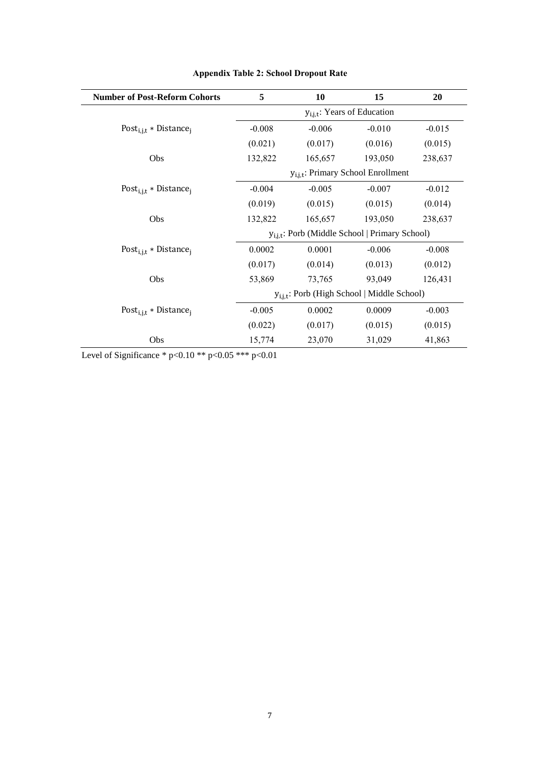| <b>Number of Post-Reform Cohorts</b>          | 5                                       | 10                                                  | 15       | 20       |  |  |  |
|-----------------------------------------------|-----------------------------------------|-----------------------------------------------------|----------|----------|--|--|--|
|                                               | $y_{i,j,t}$ : Years of Education        |                                                     |          |          |  |  |  |
| Post <sub>i,j,t</sub> * Distance <sub>j</sub> | $-0.008$                                | $-0.006$                                            | $-0.010$ | $-0.015$ |  |  |  |
|                                               | (0.021)                                 | (0.017)                                             | (0.016)  | (0.015)  |  |  |  |
| Obs                                           | 132,822                                 | 165,657                                             | 193,050  | 238,637  |  |  |  |
|                                               | $y_{i,i,t}$ : Primary School Enrollment |                                                     |          |          |  |  |  |
| Post <sub>i.i.t</sub> * Distance <sub>i</sub> | $-0.004$                                | $-0.005$                                            | $-0.007$ | $-0.012$ |  |  |  |
|                                               | (0.019)                                 | (0.015)                                             | (0.015)  | (0.014)  |  |  |  |
| Obs                                           | 132,822                                 | 165,657                                             | 193,050  | 238,637  |  |  |  |
|                                               |                                         | $y_{i.i.t}$ : Porb (Middle School   Primary School) |          |          |  |  |  |
| Post <sub>i.i.t</sub> * Distance <sub>i</sub> | 0.0002                                  | 0.0001                                              | $-0.006$ | $-0.008$ |  |  |  |
|                                               | (0.017)                                 | (0.014)                                             | (0.013)  | (0.012)  |  |  |  |
| Obs                                           | 53,869                                  | 73,765                                              | 93,049   | 126,431  |  |  |  |
|                                               |                                         | $y_{i,j,t}$ : Porb (High School   Middle School)    |          |          |  |  |  |
| Post <sub>i.i.t</sub> * Distance <sub>i</sub> | $-0.005$                                | 0.0002                                              | 0.0009   | $-0.003$ |  |  |  |
|                                               | (0.022)                                 | (0.017)                                             | (0.015)  | (0.015)  |  |  |  |
| <b>Obs</b>                                    | 15,774                                  | 23,070                                              | 31,029   | 41,863   |  |  |  |

# **Appendix Table 2: School Dropout Rate**

Level of Significance \* p<0.10 \*\* p<0.05 \*\*\* p<0.01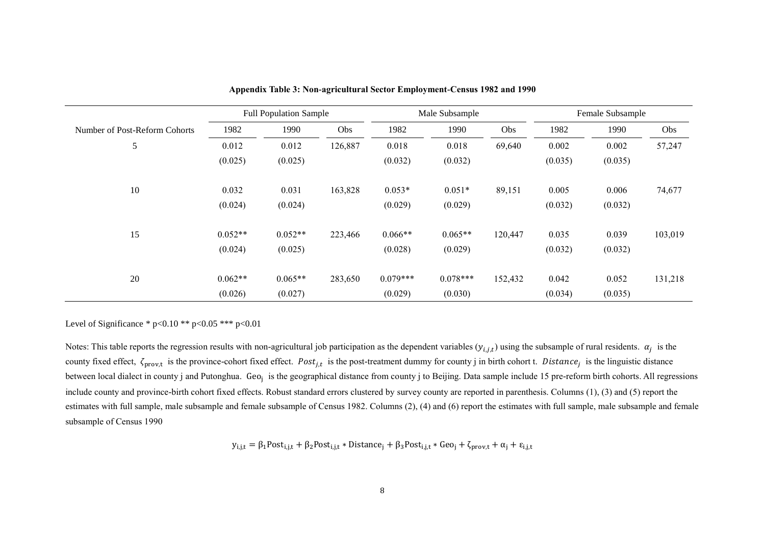|                               |           | <b>Full Population Sample</b> | Male Subsample |            |            |         | Female Subsample |         |         |
|-------------------------------|-----------|-------------------------------|----------------|------------|------------|---------|------------------|---------|---------|
| Number of Post-Reform Cohorts | 1982      | 1990                          | Obs            | 1982       | 1990       | Obs     | 1982             | 1990    | Obs     |
| 5                             | 0.012     | 0.012                         | 126,887        | 0.018      | 0.018      | 69,640  | 0.002            | 0.002   | 57,247  |
|                               | (0.025)   | (0.025)                       |                | (0.032)    | (0.032)    |         | (0.035)          | (0.035) |         |
| 10                            | 0.032     | 0.031                         | 163,828        | $0.053*$   | $0.051*$   | 89,151  | 0.005            | 0.006   | 74,677  |
|                               | (0.024)   | (0.024)                       |                | (0.029)    | (0.029)    |         | (0.032)          | (0.032) |         |
| 15                            | $0.052**$ | $0.052**$                     | 223,466        | $0.066**$  | $0.065**$  | 120,447 | 0.035            | 0.039   | 103,019 |
|                               | (0.024)   | (0.025)                       |                | (0.028)    | (0.029)    |         | (0.032)          | (0.032) |         |
| 20                            | $0.062**$ | $0.065**$                     | 283,650        | $0.079***$ | $0.078***$ | 152,432 | 0.042            | 0.052   | 131,218 |
|                               | (0.026)   | (0.027)                       |                | (0.029)    | (0.030)    |         | (0.034)          | (0.035) |         |

**Appendix Table 3: Non-agricultural Sector Employment-Census 1982 and 1990**

Notes: This table reports the regression results with non-agricultural job participation as the dependent variables  $(y_{i,j,t})$  using the subsample of rural residents.  $\alpha_j$  is the county fixed effect,  $\zeta_{\text{prov},t}$  is the province-cohort fixed effect. Post<sub>j,t</sub> is the post-treatment dummy for county j in birth cohort t. Distance<sub>j</sub> is the linguistic distance between local dialect in county j and Putonghua. Geo<sub>j</sub> is the geographical distance from county j to Beijing. Data sample include 15 pre-reform birth cohorts. All regressions include county and province-birth cohort fixed effects. Robust standard errors clustered by survey county are reported in parenthesis. Columns (1), (3) and (5) report the estimates with full sample, male subsample and female subsample of Census 1982. Columns (2), (4) and (6) report the estimates with full sample, male subsample and female subsample of Census 1990

$$
y_{i,j,t} = \beta_1 \text{Post}_{i,j,t} + \beta_2 \text{Post}_{i,j,t} * \text{Distance}_j + \beta_3 \text{Post}_{i,j,t} * \text{Geo}_j + \zeta_{\text{prov},t} + \alpha_j + \varepsilon_{i,j,t}
$$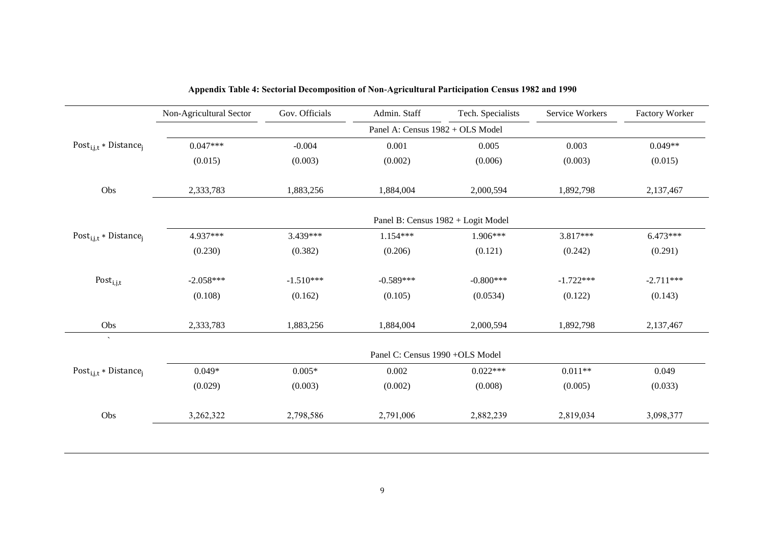|                                               | Non-Agricultural Sector | Gov. Officials | Admin. Staff                     | Tech. Specialists                  | Service Workers | Factory Worker |
|-----------------------------------------------|-------------------------|----------------|----------------------------------|------------------------------------|-----------------|----------------|
|                                               |                         |                | Panel A: Census 1982 + OLS Model |                                    |                 |                |
| Post <sub>i,j,t</sub> * Distance <sub>i</sub> | $0.047***$              | $-0.004$       | 0.001                            | 0.005                              | 0.003           | $0.049**$      |
|                                               | (0.015)                 | (0.003)        | (0.002)                          | (0.006)                            | (0.003)         | (0.015)        |
| Obs                                           | 2,333,783               | 1,883,256      | 1,884,004                        | 2,000,594                          | 1,892,798       | 2,137,467      |
|                                               |                         |                |                                  | Panel B: Census 1982 + Logit Model |                 |                |
| Post <sub>i,j,t</sub> * Distance <sub>i</sub> | 4.937***                | 3.439***       | $1.154***$                       | 1.906***                           | 3.817***        | $6.473***$     |
|                                               | (0.230)                 | (0.382)        | (0.206)                          | (0.121)                            | (0.242)         | (0.291)        |
| Post <sub>i,j,t</sub>                         | $-2.058***$             | $-1.510***$    | $-0.589***$                      | $-0.800***$                        | $-1.722***$     | $-2.711***$    |
|                                               | (0.108)                 | (0.162)        | (0.105)                          | (0.0534)                           | (0.122)         | (0.143)        |
| Obs                                           | 2,333,783               | 1,883,256      | 1,884,004                        | 2,000,594                          | 1,892,798       | 2,137,467      |
| $\mathcal{N}$                                 |                         |                | Panel C: Census 1990 +OLS Model  |                                    |                 |                |
| Post <sub>i,j,t</sub> * Distance <sub>i</sub> | $0.049*$                | $0.005*$       | 0.002                            | $0.022***$                         | $0.011**$       | 0.049          |
|                                               | (0.029)                 | (0.003)        | (0.002)                          | (0.008)                            | (0.005)         | (0.033)        |
| Obs                                           | 3,262,322               | 2,798,586      | 2,791,006                        | 2,882,239                          | 2,819,034       | 3,098,377      |

| Appendix Table 4: Sectorial Decomposition of Non-Agricultural Participation Census 1982 and 1990 |  |  |  |
|--------------------------------------------------------------------------------------------------|--|--|--|
|                                                                                                  |  |  |  |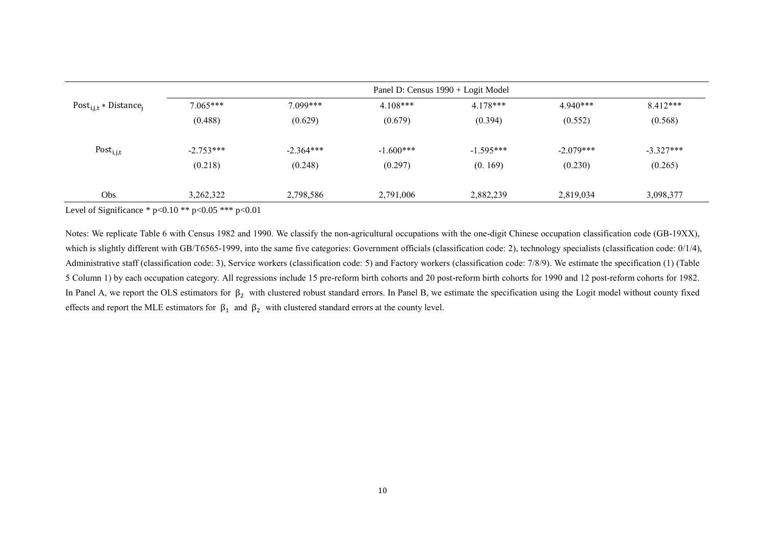|                                               | Panel D: Census 1990 + Logit Model |             |             |             |             |             |  |  |  |
|-----------------------------------------------|------------------------------------|-------------|-------------|-------------|-------------|-------------|--|--|--|
| Post <sub>i,j,t</sub> * Distance <sub>i</sub> | $7.065***$                         | $7.099***$  | $4.108***$  | $4.178***$  | $4.940***$  | $8.412***$  |  |  |  |
|                                               | (0.488)                            | (0.629)     | (0.679)     | (0.394)     | (0.552)     | (0.568)     |  |  |  |
| Post <sub>i,j,t</sub>                         | $-2.753***$                        | $-2.364***$ | $-1.600***$ | $-1.595***$ | $-2.079***$ | $-3.327***$ |  |  |  |
|                                               | (0.218)                            | (0.248)     | (0.297)     | (0.169)     | (0.230)     | (0.265)     |  |  |  |
| Obs                                           | 3,262,322                          | 2,798,586   | 2,791,006   | 2,882,239   | 2,819,034   | 3,098,377   |  |  |  |

Notes: We replicate Table 6 with Census 1982 and 1990. We classify the non-agricultural occupations with the one-digit Chinese occupation classification code (GB-19XX), which is slightly different with GB/T6565-1999, into the same five categories: Government officials (classification code: 2), technology specialists (classification code: 0/1/4), Administrative staff (classification code: 3), Service workers (classification code: 5) and Factory workers (classification code: 7/8/9). We estimate the specification (1) (Table 5 Column 1) by each occupation category. All regressions include 15 pre-reform birth cohorts and 20 post-reform birth cohorts for 1990 and 12 post-reform cohorts for 1982. In Panel A, we report the OLS estimators for  $\beta_2$  with clustered robust standard errors. In Panel B, we estimate the specification using the Logit model without county fixed effects and report the MLE estimators for  $\beta_1$  and  $\beta_2$  with clustered standard errors at the county level.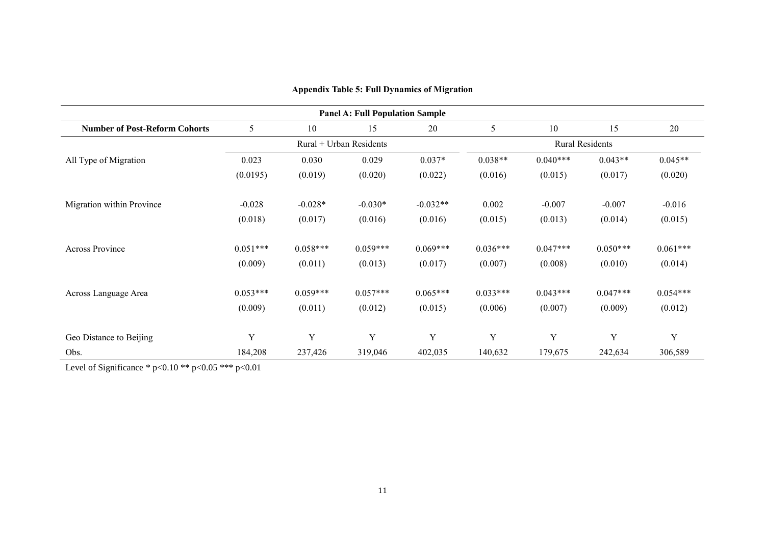|                                      |                         |            | <b>Panel A: Full Population Sample</b> |            |                        |            |            |            |  |  |
|--------------------------------------|-------------------------|------------|----------------------------------------|------------|------------------------|------------|------------|------------|--|--|
| <b>Number of Post-Reform Cohorts</b> | 5                       | 10         | 15                                     | 20         | 5                      | 10         | 15         | 20         |  |  |
|                                      | Rural + Urban Residents |            |                                        |            | <b>Rural Residents</b> |            |            |            |  |  |
| All Type of Migration                | 0.023                   | 0.030      | 0.029                                  | $0.037*$   | $0.038**$              | $0.040***$ | $0.043**$  | $0.045**$  |  |  |
|                                      | (0.0195)                | (0.019)    | (0.020)                                | (0.022)    | (0.016)                | (0.015)    | (0.017)    | (0.020)    |  |  |
| Migration within Province            | $-0.028$                | $-0.028*$  | $-0.030*$                              | $-0.032**$ | 0.002                  | $-0.007$   | $-0.007$   | $-0.016$   |  |  |
|                                      | (0.018)                 | (0.017)    | (0.016)                                | (0.016)    | (0.015)                | (0.013)    | (0.014)    | (0.015)    |  |  |
| Across Province                      | $0.051***$              | $0.058***$ | $0.059***$                             | $0.069***$ | $0.036***$             | $0.047***$ | $0.050***$ | $0.061***$ |  |  |
|                                      | (0.009)                 | (0.011)    | (0.013)                                | (0.017)    | (0.007)                | (0.008)    | (0.010)    | (0.014)    |  |  |
| Across Language Area                 | $0.053***$              | $0.059***$ | $0.057***$                             | $0.065***$ | $0.033***$             | $0.043***$ | $0.047***$ | $0.054***$ |  |  |
|                                      | (0.009)                 | (0.011)    | (0.012)                                | (0.015)    | (0.006)                | (0.007)    | (0.009)    | (0.012)    |  |  |
| Geo Distance to Beijing              | Y                       | Y          | Y                                      | Y          | Y                      | Y          | Y          | Y          |  |  |
| Obs.                                 | 184,208                 | 237,426    | 319,046                                | 402,035    | 140,632                | 179,675    | 242,634    | 306,589    |  |  |

# **Appendix Table 5: Full Dynamics of Migration**

Level of Significance \* p<0.10 \*\* p<0.05 \*\*\* p<0.01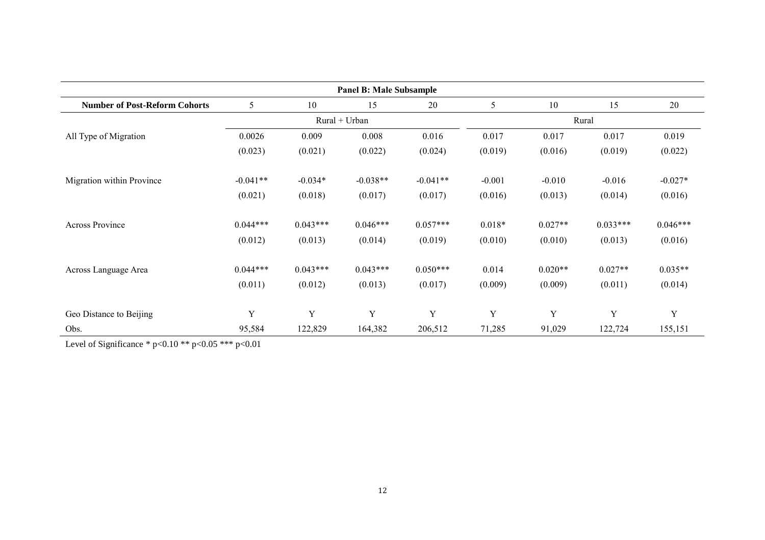| <b>Panel B: Male Subsample</b>       |               |             |            |            |          |           |             |            |  |  |  |
|--------------------------------------|---------------|-------------|------------|------------|----------|-----------|-------------|------------|--|--|--|
| <b>Number of Post-Reform Cohorts</b> | 5             | 10          | 15         | 20         | 5        | 10        | 15          | 20         |  |  |  |
|                                      | Rural + Urban |             |            |            | Rural    |           |             |            |  |  |  |
| All Type of Migration                | 0.0026        | 0.009       | 0.008      | 0.016      | 0.017    | 0.017     | 0.017       | 0.019      |  |  |  |
|                                      | (0.023)       | (0.021)     | (0.022)    | (0.024)    | (0.019)  | (0.016)   | (0.019)     | (0.022)    |  |  |  |
| Migration within Province            | $-0.041**$    | $-0.034*$   | $-0.038**$ | $-0.041**$ | $-0.001$ | $-0.010$  | $-0.016$    | $-0.027*$  |  |  |  |
|                                      | (0.021)       | (0.018)     | (0.017)    | (0.017)    | (0.016)  | (0.013)   | (0.014)     | (0.016)    |  |  |  |
| <b>Across Province</b>               | $0.044***$    | $0.043***$  | $0.046***$ | $0.057***$ | $0.018*$ | $0.027**$ | $0.033***$  | $0.046***$ |  |  |  |
|                                      | (0.012)       | (0.013)     | (0.014)    | (0.019)    | (0.010)  | (0.010)   | (0.013)     | (0.016)    |  |  |  |
| Across Language Area                 | $0.044***$    | $0.043***$  | $0.043***$ | $0.050***$ | 0.014    | $0.020**$ | $0.027**$   | $0.035**$  |  |  |  |
|                                      | (0.011)       | (0.012)     | (0.013)    | (0.017)    | (0.009)  | (0.009)   | (0.011)     | (0.014)    |  |  |  |
| Geo Distance to Beijing              | $\mathbf Y$   | $\mathbf Y$ | Y          | Y          | Y        | Y         | $\mathbf Y$ | Y          |  |  |  |
| Obs.                                 | 95,584        | 122,829     | 164,382    | 206,512    | 71,285   | 91,029    | 122,724     | 155,151    |  |  |  |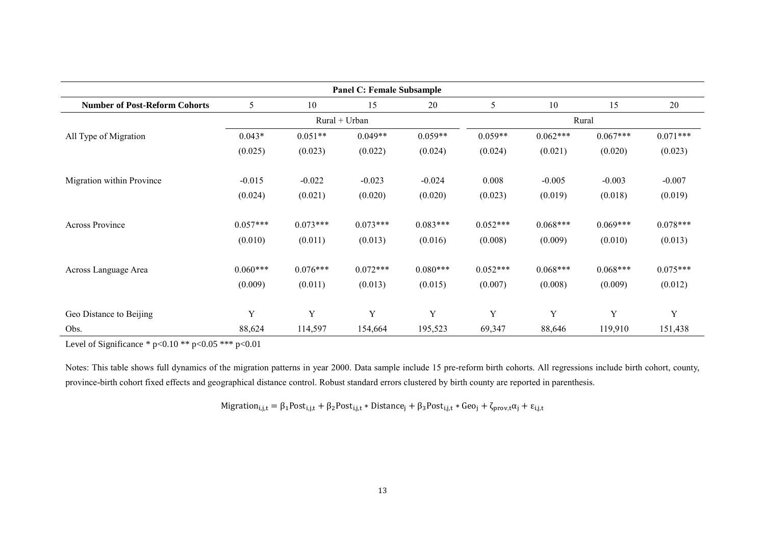| <b>Panel C: Female Subsample</b>     |               |            |            |            |            |            |            |            |  |  |  |
|--------------------------------------|---------------|------------|------------|------------|------------|------------|------------|------------|--|--|--|
| <b>Number of Post-Reform Cohorts</b> | 5             | 10         | 15         | 20         | 5          | 10         | 15         | 20         |  |  |  |
|                                      | Rural + Urban |            |            |            | Rural      |            |            |            |  |  |  |
| All Type of Migration                | $0.043*$      | $0.051**$  | $0.049**$  | $0.059**$  | $0.059**$  | $0.062***$ | $0.067***$ | $0.071***$ |  |  |  |
|                                      | (0.025)       | (0.023)    | (0.022)    | (0.024)    | (0.024)    | (0.021)    | (0.020)    | (0.023)    |  |  |  |
| Migration within Province            | $-0.015$      | $-0.022$   | $-0.023$   | $-0.024$   | 0.008      | $-0.005$   | $-0.003$   | $-0.007$   |  |  |  |
|                                      | (0.024)       | (0.021)    | (0.020)    | (0.020)    | (0.023)    | (0.019)    | (0.018)    | (0.019)    |  |  |  |
| Across Province                      | $0.057***$    | $0.073***$ | $0.073***$ | $0.083***$ | $0.052***$ | $0.068***$ | $0.069***$ | $0.078***$ |  |  |  |
|                                      | (0.010)       | (0.011)    | (0.013)    | (0.016)    | (0.008)    | (0.009)    | (0.010)    | (0.013)    |  |  |  |
| Across Language Area                 | $0.060***$    | $0.076***$ | $0.072***$ | $0.080***$ | $0.052***$ | $0.068***$ | $0.068***$ | $0.075***$ |  |  |  |
|                                      | (0.009)       | (0.011)    | (0.013)    | (0.015)    | (0.007)    | (0.008)    | (0.009)    | (0.012)    |  |  |  |
|                                      | Y             | Y          | Y          | Y          | Y          | Y          | Y          | Y          |  |  |  |
| Geo Distance to Beijing              |               |            |            |            |            |            |            |            |  |  |  |
| Obs.                                 | 88,624        | 114,597    | 154,664    | 195,523    | 69,347     | 88,646     | 119,910    | 151,438    |  |  |  |

Notes: This table shows full dynamics of the migration patterns in year 2000. Data sample include 15 pre-reform birth cohorts. All regressions include birth cohort, county, province-birth cohort fixed effects and geographical distance control. Robust standard errors clustered by birth county are reported in parenthesis.

 $\text{Migration}_{i,j,t} = \beta_1 \text{Post}_{i,j,t} + \beta_2 \text{Post}_{i,j,t} * \text{Distance}_j + \beta_3 \text{Post}_{i,j,t} * \text{Geo}_j + \zeta_{\text{prov},t} \alpha_j + \epsilon_{i,j,t}$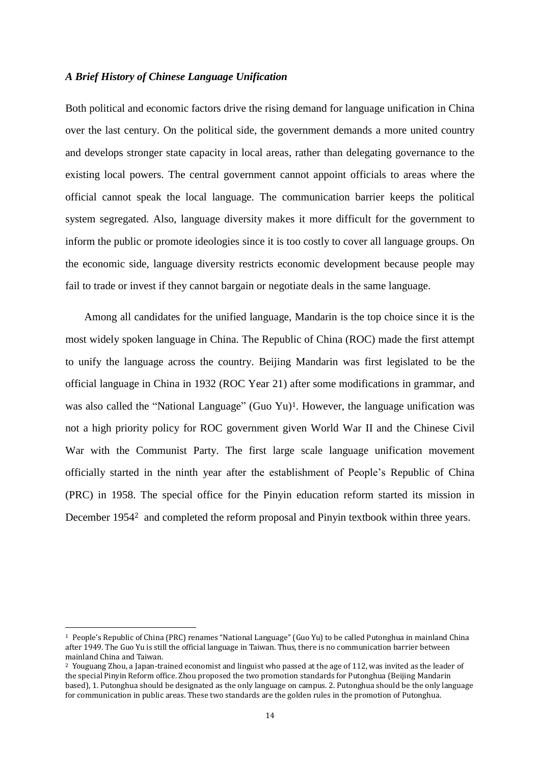### *A Brief History of Chinese Language Unification*

Both political and economic factors drive the rising demand for language unification in China over the last century. On the political side, the government demands a more united country and develops stronger state capacity in local areas, rather than delegating governance to the existing local powers. The central government cannot appoint officials to areas where the official cannot speak the local language. The communication barrier keeps the political system segregated. Also, language diversity makes it more difficult for the government to inform the public or promote ideologies since it is too costly to cover all language groups. On the economic side, language diversity restricts economic development because people may fail to trade or invest if they cannot bargain or negotiate deals in the same language.

Among all candidates for the unified language, Mandarin is the top choice since it is the most widely spoken language in China. The Republic of China (ROC) made the first attempt to unify the language across the country. Beijing Mandarin was first legislated to be the official language in China in 1932 (ROC Year 21) after some modifications in grammar, and was also called the "National Language" (Guo Yu)<sup>1</sup>. However, the language unification was not a high priority policy for ROC government given World War II and the Chinese Civil War with the Communist Party. The first large scale language unification movement officially started in the ninth year after the establishment of People's Republic of China (PRC) in 1958. The special office for the Pinyin education reform started its mission in December 1954<sup>2</sup> and completed the reform proposal and Pinyin textbook within three years.

 $\overline{\phantom{a}}$ 

<sup>1</sup> People's Republic of China (PRC) renames "National Language" (Guo Yu) to be called Putonghua in mainland China after 1949. The Guo Yu is still the official language in Taiwan. Thus, there is no communication barrier between mainland China and Taiwan.

<sup>2</sup> Youguang Zhou, a Japan-trained economist and linguist who passed at the age of 112, was invited as the leader of the special Pinyin Reform office. Zhou proposed the two promotion standards for Putonghua (Beijing Mandarin based), 1. Putonghua should be designated as the only language on campus. 2. Putonghua should be the only language for communication in public areas. These two standards are the golden rules in the promotion of Putonghua.